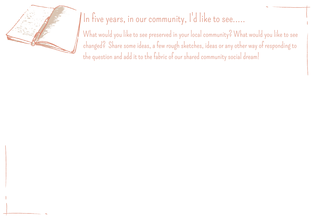

# In five years, in our community, I'd like to see.....

What would you like to see preserved in your local community? What would you like to see changed? Share some ideas, a few rough sketches, ideas or any other way of responding to the question and add it to the fabric of our shared community social dream!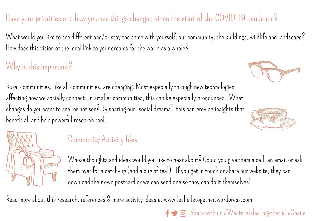#### Have your priorities and how you see things changed since the start of the COVID-19 pandemic?

What would you like to see different and/or stay the same with yourself, our community, the buildings, wildlife and landscape? How does this vision of the local link to your dreams for the world as a whole?

### Why is this important?

Rural communities, like all communities, are changing. Most especially through new technologies affecting how we socially connect. In smaller communities, this can be especially pronounced. What changes do you want to see, or not see? By sharing our "social dreams", this can provide insights that benefit all and be a powerful research tool.



#### Community Activity Idea

Whose thoughts and ideas would you like to hear about? Could you give them a call, an email or ask them over for a catch-up (and a cup of tea!). If you get in touch or share our website, they can download their own postcard or we can send one so they can do it themselves!

Read more about this research, references & more activity ideas at [www.lecheiletogether.wordpress.com](http://www.lecheiletogether.wordpress.com/)





 $\mathbf{S}$   $\odot$  Share with us #WesternIslesTogether #LeCheile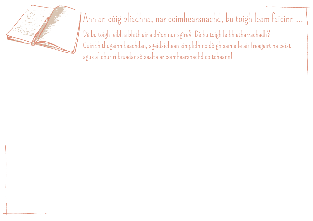

## Ann an còig bliadhna, nar coimhearsnachd, bu toigh leam faicinn ...

Dè bu toigh leibh a bhith air a dhìon nur sgìre? Dè bu toigh leibh atharrachadh? Cuiribh thugainn beachdan, sgeidsichean sìmplidh no dòigh sam eile air freagairt na ceist agus a' chur ri bruadar sòisealta ar coimhearsnachd coitcheann!